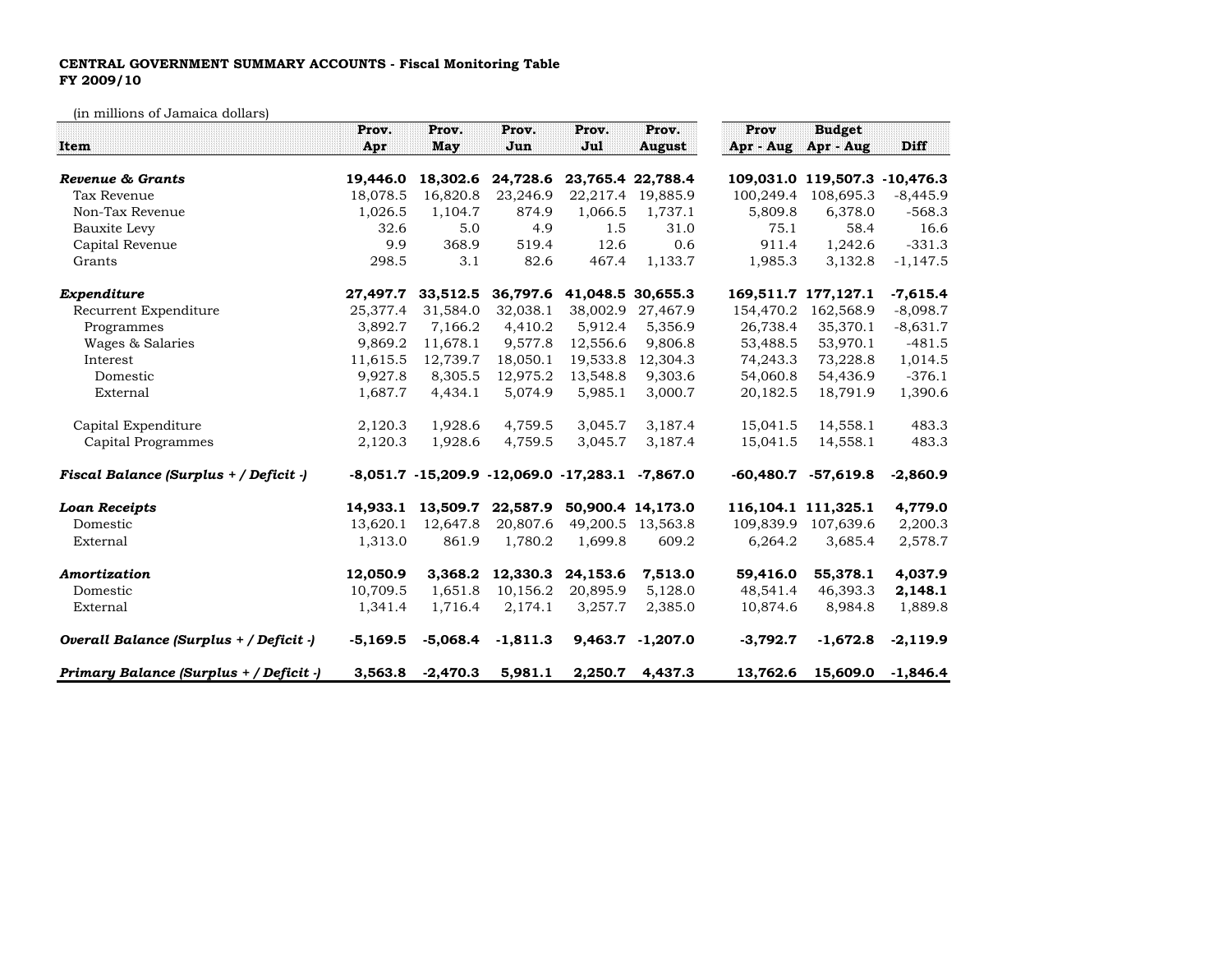## CENTRAL GOVERNMENT SUMMARY ACCOUNTS - Fiscal Monitoring TableFY 2009/10

(in millions of Jamaica dollars)

|                                         | Prov.      | Prov.      | Prov.                                          | Prov.    | Prov.             | Prov        | <b>Budget</b>                 |            |
|-----------------------------------------|------------|------------|------------------------------------------------|----------|-------------------|-------------|-------------------------------|------------|
| <b>Item</b>                             | Apr        | May        | Jun                                            | Jul      | <b>August</b>     | Apr - Aug   | Apr - Aug                     | Diff       |
| Revenue & Grants                        | 19,446.0   | 18,302.6   | 24,728.6                                       |          | 23,765.4 22,788.4 |             | 109,031.0 119,507.3 -10,476.3 |            |
| Tax Revenue                             | 18,078.5   | 16,820.8   | 23,246.9                                       | 22,217.4 | 19,885.9          | 100,249.4   | 108,695.3                     | $-8,445.9$ |
| Non-Tax Revenue                         | 1,026.5    | 1,104.7    | 874.9                                          | 1,066.5  | 1,737.1           | 5,809.8     | 6,378.0                       | $-568.3$   |
| Bauxite Levy                            | 32.6       | 5.0        | 4.9                                            | 1.5      | 31.0              | 75.1        | 58.4                          | 16.6       |
| Capital Revenue                         | 9.9        | 368.9      | 519.4                                          | 12.6     | 0.6               | 911.4       | 1,242.6                       | $-331.3$   |
| Grants                                  | 298.5      | 3.1        | 82.6                                           | 467.4    | 1,133.7           | 1,985.3     | 3,132.8                       | $-1,147.5$ |
| Expenditure                             | 27,497.7   | 33,512.5   | 36,797.6                                       |          | 41,048.5 30,655.3 |             | 169,511.7 177,127.1           | $-7,615.4$ |
| Recurrent Expenditure                   | 25,377.4   | 31,584.0   | 32,038.1                                       | 38,002.9 | 27,467.9          | 154,470.2   | 162,568.9                     | $-8,098.7$ |
| Programmes                              | 3,892.7    | 7,166.2    | 4,410.2                                        | 5,912.4  | 5,356.9           | 26,738.4    | 35,370.1                      | $-8,631.7$ |
| Wages & Salaries                        | 9,869.2    | 11,678.1   | 9,577.8                                        | 12,556.6 | 9,806.8           | 53,488.5    | 53,970.1                      | $-481.5$   |
| Interest                                | 11,615.5   | 12,739.7   | 18,050.1                                       | 19,533.8 | 12,304.3          | 74,243.3    | 73,228.8                      | 1,014.5    |
| Domestic                                | 9,927.8    | 8,305.5    | 12,975.2                                       | 13,548.8 | 9,303.6           | 54,060.8    | 54,436.9                      | $-376.1$   |
| External                                | 1,687.7    | 4,434.1    | 5,074.9                                        | 5,985.1  | 3,000.7           | 20,182.5    | 18,791.9                      | 1,390.6    |
| Capital Expenditure                     | 2,120.3    | 1,928.6    | 4,759.5                                        | 3,045.7  | 3,187.4           | 15,041.5    | 14,558.1                      | 483.3      |
| Capital Programmes                      | 2,120.3    | 1,928.6    | 4,759.5                                        | 3,045.7  | 3,187.4           | 15,041.5    | 14,558.1                      | 483.3      |
| Fiscal Balance (Surplus + / Deficit -)  |            |            | $-8,051.7$ $-15,209.9$ $-12,069.0$ $-17,283.1$ |          | $-7,867.0$        | $-60,480.7$ | $-57,619.8$                   | $-2,860.9$ |
| <b>Loan Receipts</b>                    | 14.933.1   | 13,509.7   | 22,587.9                                       |          | 50,900.4 14,173.0 |             | 116, 104.1 111, 325.1         | 4,779.0    |
| Domestic                                | 13,620.1   | 12,647.8   | 20,807.6                                       |          | 49,200.5 13,563.8 | 109,839.9   | 107,639.6                     | 2,200.3    |
| External                                | 1,313.0    | 861.9      | 1,780.2                                        | 1,699.8  | 609.2             | 6,264.2     | 3,685.4                       | 2,578.7    |
| Amortization                            | 12,050.9   | 3,368.2    | 12,330.3                                       | 24,153.6 | 7,513.0           | 59,416.0    | 55,378.1                      | 4,037.9    |
| Domestic                                | 10,709.5   | 1,651.8    | 10,156.2                                       | 20,895.9 | 5,128.0           | 48,541.4    | 46,393.3                      | 2,148.1    |
| External                                | 1,341.4    | 1,716.4    | 2,174.1                                        | 3,257.7  | 2,385.0           | 10,874.6    | 8,984.8                       | 1,889.8    |
| Overall Balance (Surplus + / Deficit -) | $-5,169.5$ | $-5,068.4$ | $-1,811.3$                                     | 9,463.7  | $-1,207.0$        | $-3,792.7$  | $-1,672.8$                    | $-2,119.9$ |
| Primary Balance (Surplus + / Deficit -) | 3,563.8    | $-2,470.3$ | 5,981.1                                        | 2,250.7  | 4,437.3           | 13,762.6    | 15,609.0                      | $-1,846.4$ |